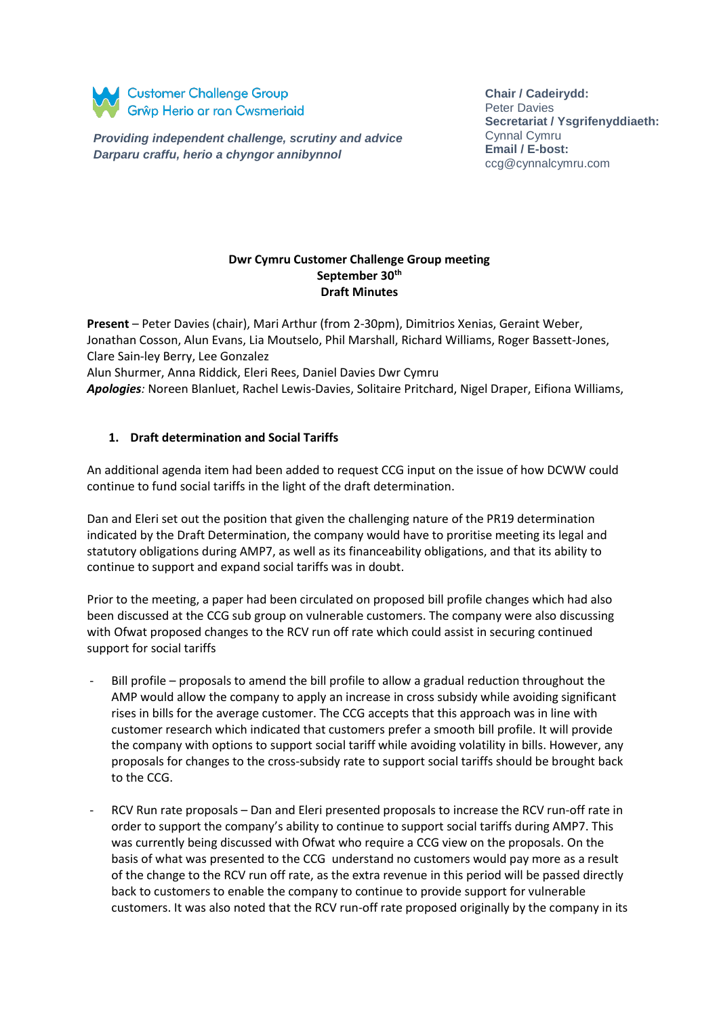

*Providing independent challenge, scrutiny and advice Darparu craffu, herio a chyngor annibynnol*

**Chair / Cadeirydd:**  Peter Davies **Secretariat / Ysgrifenyddiaeth:**  Cynnal Cymru **Email / E-bost:** ccg@cynnalcymru.com

### **Dwr Cymru Customer Challenge Group meeting September 30th Draft Minutes**

**Present** – Peter Davies (chair), Mari Arthur (from 2-30pm), Dimitrios Xenias, Geraint Weber, Jonathan Cosson, Alun Evans, Lia Moutselo, Phil Marshall, Richard Williams, Roger Bassett-Jones, Clare Sain-ley Berry, Lee Gonzalez

Alun Shurmer, Anna Riddick, Eleri Rees, Daniel Davies Dwr Cymru

*Apologies:* Noreen Blanluet, Rachel Lewis-Davies, Solitaire Pritchard, Nigel Draper, Eifiona Williams,

## **1. Draft determination and Social Tariffs**

An additional agenda item had been added to request CCG input on the issue of how DCWW could continue to fund social tariffs in the light of the draft determination.

Dan and Eleri set out the position that given the challenging nature of the PR19 determination indicated by the Draft Determination, the company would have to proritise meeting its legal and statutory obligations during AMP7, as well as its financeability obligations, and that its ability to continue to support and expand social tariffs was in doubt.

Prior to the meeting, a paper had been circulated on proposed bill profile changes which had also been discussed at the CCG sub group on vulnerable customers. The company were also discussing with Ofwat proposed changes to the RCV run off rate which could assist in securing continued support for social tariffs

- Bill profile proposals to amend the bill profile to allow a gradual reduction throughout the AMP would allow the company to apply an increase in cross subsidy while avoiding significant rises in bills for the average customer. The CCG accepts that this approach was in line with customer research which indicated that customers prefer a smooth bill profile. It will provide the company with options to support social tariff while avoiding volatility in bills. However, any proposals for changes to the cross-subsidy rate to support social tariffs should be brought back to the CCG.
- RCV Run rate proposals Dan and Eleri presented proposals to increase the RCV run-off rate in order to support the company's ability to continue to support social tariffs during AMP7. This was currently being discussed with Ofwat who require a CCG view on the proposals. On the basis of what was presented to the CCG understand no customers would pay more as a result of the change to the RCV run off rate, as the extra revenue in this period will be passed directly back to customers to enable the company to continue to provide support for vulnerable customers. It was also noted that the RCV run-off rate proposed originally by the company in its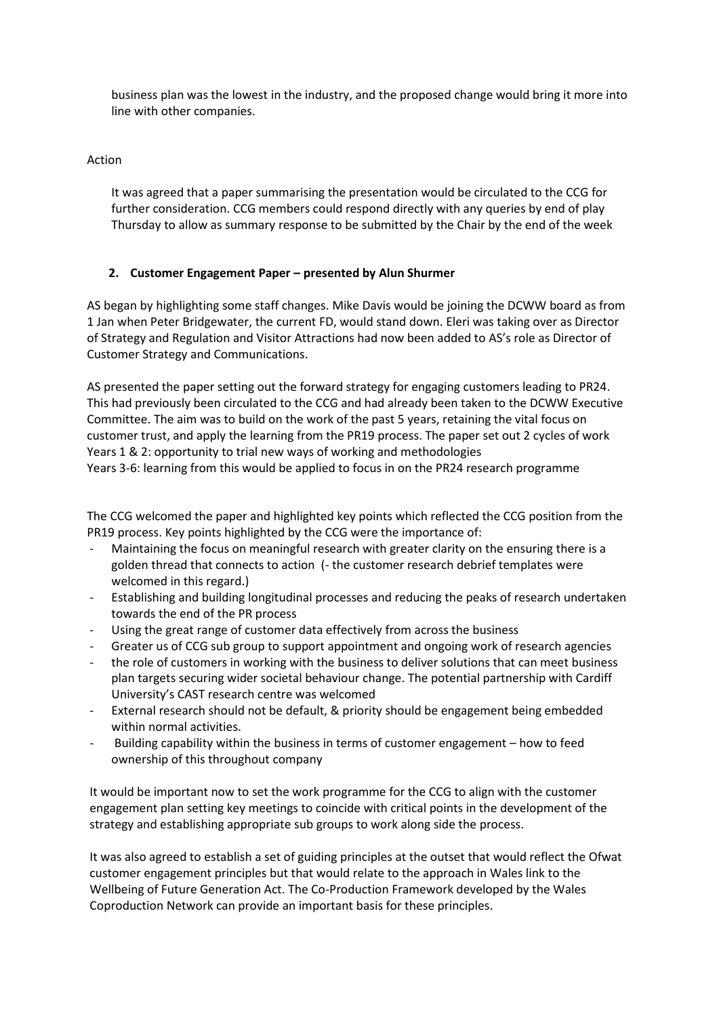business plan was the lowest in the industry, and the proposed change would bring it more into line with other companies.

#### Action

It was agreed that a paper summarising the presentation would be circulated to the CCG for further consideration. CCG members could respond directly with any queries by end of play Thursday to allow as summary response to be submitted by the Chair by the end of the week

## **2. Customer Engagement Paper – presented by Alun Shurmer**

AS began by highlighting some staff changes. Mike Davis would be joining the DCWW board as from 1 Jan when Peter Bridgewater, the current FD, would stand down. Eleri was taking over as Director of Strategy and Regulation and Visitor Attractions had now been added to AS's role as Director of Customer Strategy and Communications.

AS presented the paper setting out the forward strategy for engaging customers leading to PR24. This had previously been circulated to the CCG and had already been taken to the DCWW Executive Committee. The aim was to build on the work of the past 5 years, retaining the vital focus on customer trust, and apply the learning from the PR19 process. The paper set out 2 cycles of work Years 1 & 2: opportunity to trial new ways of working and methodologies Years 3-6: learning from this would be applied to focus in on the PR24 research programme

The CCG welcomed the paper and highlighted key points which reflected the CCG position from the PR19 process. Key points highlighted by the CCG were the importance of:

- Maintaining the focus on meaningful research with greater clarity on the ensuring there is a golden thread that connects to action (- the customer research debrief templates were welcomed in this regard.)
- Establishing and building longitudinal processes and reducing the peaks of research undertaken towards the end of the PR process
- Using the great range of customer data effectively from across the business
- Greater us of CCG sub group to support appointment and ongoing work of research agencies
- the role of customers in working with the business to deliver solutions that can meet business plan targets securing wider societal behaviour change. The potential partnership with Cardiff University's CAST research centre was welcomed
- External research should not be default, & priority should be engagement being embedded within normal activities.
- Building capability within the business in terms of customer engagement how to feed ownership of this throughout company

It would be important now to set the work programme for the CCG to align with the customer engagement plan setting key meetings to coincide with critical points in the development of the strategy and establishing appropriate sub groups to work along side the process.

It was also agreed to establish a set of guiding principles at the outset that would reflect the Ofwat customer engagement principles but that would relate to the approach in Wales link to the Wellbeing of Future Generation Act. The Co-Production Framework developed by the Wales Coproduction Network can provide an important basis for these principles.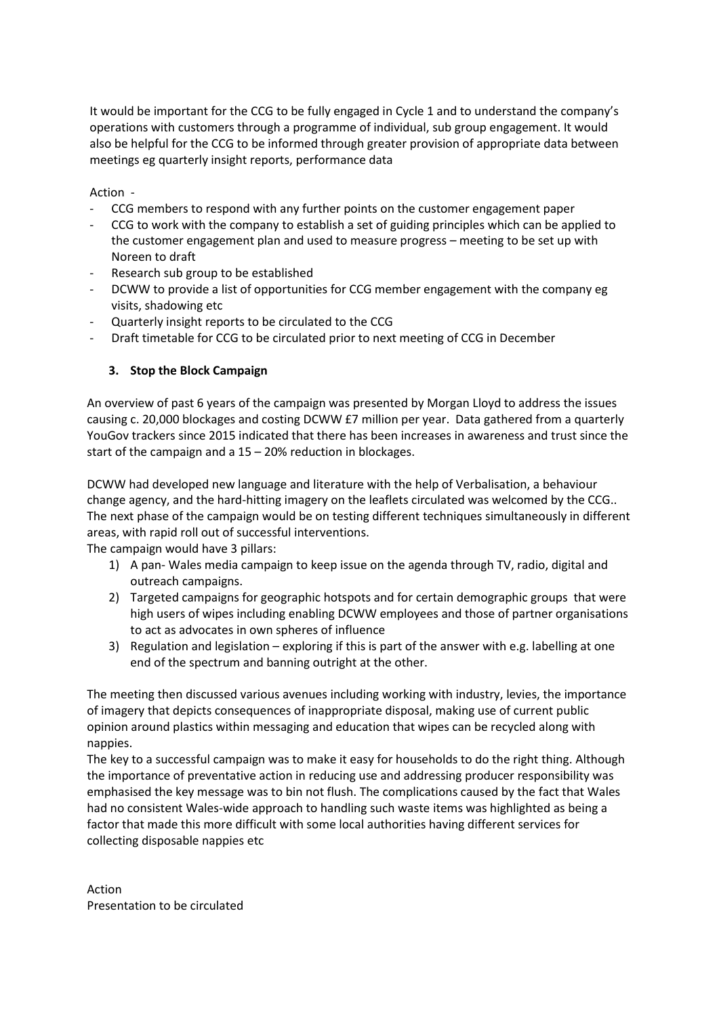It would be important for the CCG to be fully engaged in Cycle 1 and to understand the company's operations with customers through a programme of individual, sub group engagement. It would also be helpful for the CCG to be informed through greater provision of appropriate data between meetings eg quarterly insight reports, performance data

Action -

- CCG members to respond with any further points on the customer engagement paper
- CCG to work with the company to establish a set of guiding principles which can be applied to the customer engagement plan and used to measure progress – meeting to be set up with Noreen to draft
- Research sub group to be established
- DCWW to provide a list of opportunities for CCG member engagement with the company eg visits, shadowing etc
- Quarterly insight reports to be circulated to the CCG
- Draft timetable for CCG to be circulated prior to next meeting of CCG in December

### **3. Stop the Block Campaign**

An overview of past 6 years of the campaign was presented by Morgan Lloyd to address the issues causing c. 20,000 blockages and costing DCWW £7 million per year. Data gathered from a quarterly YouGov trackers since 2015 indicated that there has been increases in awareness and trust since the start of the campaign and a 15 – 20% reduction in blockages.

DCWW had developed new language and literature with the help of Verbalisation, a behaviour change agency, and the hard-hitting imagery on the leaflets circulated was welcomed by the CCG.. The next phase of the campaign would be on testing different techniques simultaneously in different areas, with rapid roll out of successful interventions.

The campaign would have 3 pillars:

- 1) A pan- Wales media campaign to keep issue on the agenda through TV, radio, digital and outreach campaigns.
- 2) Targeted campaigns for geographic hotspots and for certain demographic groups that were high users of wipes including enabling DCWW employees and those of partner organisations to act as advocates in own spheres of influence
- 3) Regulation and legislation exploring if this is part of the answer with e.g. labelling at one end of the spectrum and banning outright at the other.

The meeting then discussed various avenues including working with industry, levies, the importance of imagery that depicts consequences of inappropriate disposal, making use of current public opinion around plastics within messaging and education that wipes can be recycled along with nappies.

The key to a successful campaign was to make it easy for households to do the right thing. Although the importance of preventative action in reducing use and addressing producer responsibility was emphasised the key message was to bin not flush. The complications caused by the fact that Wales had no consistent Wales-wide approach to handling such waste items was highlighted as being a factor that made this more difficult with some local authorities having different services for collecting disposable nappies etc

Action Presentation to be circulated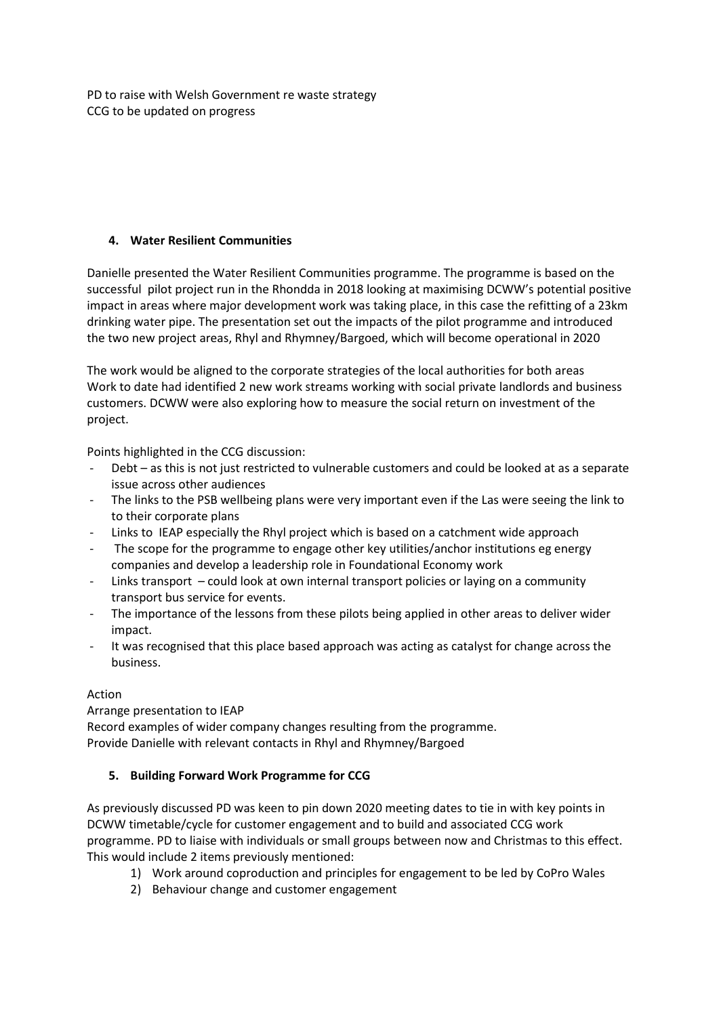PD to raise with Welsh Government re waste strategy CCG to be updated on progress

# **4. Water Resilient Communities**

Danielle presented the Water Resilient Communities programme. The programme is based on the successful pilot project run in the Rhondda in 2018 looking at maximising DCWW's potential positive impact in areas where major development work was taking place, in this case the refitting of a 23km drinking water pipe. The presentation set out the impacts of the pilot programme and introduced the two new project areas, Rhyl and Rhymney/Bargoed, which will become operational in 2020

The work would be aligned to the corporate strategies of the local authorities for both areas Work to date had identified 2 new work streams working with social private landlords and business customers. DCWW were also exploring how to measure the social return on investment of the project.

Points highlighted in the CCG discussion:

- Debt as this is not just restricted to vulnerable customers and could be looked at as a separate issue across other audiences
- The links to the PSB wellbeing plans were very important even if the Las were seeing the link to to their corporate plans
- Links to IEAP especially the Rhyl project which is based on a catchment wide approach
- The scope for the programme to engage other key utilities/anchor institutions eg energy companies and develop a leadership role in Foundational Economy work
- Links transport could look at own internal transport policies or laying on a community transport bus service for events.
- The importance of the lessons from these pilots being applied in other areas to deliver wider impact.
- It was recognised that this place based approach was acting as catalyst for change across the business.

## Action

Arrange presentation to IEAP Record examples of wider company changes resulting from the programme. Provide Danielle with relevant contacts in Rhyl and Rhymney/Bargoed

## **5. Building Forward Work Programme for CCG**

As previously discussed PD was keen to pin down 2020 meeting dates to tie in with key points in DCWW timetable/cycle for customer engagement and to build and associated CCG work programme. PD to liaise with individuals or small groups between now and Christmas to this effect. This would include 2 items previously mentioned:

- 1) Work around coproduction and principles for engagement to be led by CoPro Wales
- 2) Behaviour change and customer engagement